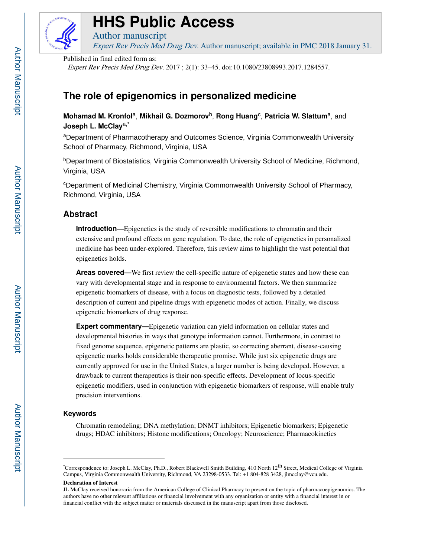

## **HHS Public Access**

Expert Rev Precis Med Drug Dev. Author manuscript; available in PMC 2018 January 31.

Published in final edited form as:

Author manuscript

Expert Rev Precis Med Drug Dev. 2017 ; 2(1): 33–45. doi:10.1080/23808993.2017.1284557.

### **The role of epigenomics in personalized medicine**

Mohamad M. Kronfol<sup>a</sup>, Mikhail G. Dozmorov<sup>b</sup>, Rong Huang<sup>c</sup>, Patricia W. Slattum<sup>a</sup>, and **Joseph L. McClay**a,\*

aDepartment of Pharmacotherapy and Outcomes Science, Virginia Commonwealth University School of Pharmacy, Richmond, Virginia, USA

<sup>b</sup>Department of Biostatistics, Virginia Commonwealth University School of Medicine, Richmond, Virginia, USA

<sup>c</sup>Department of Medicinal Chemistry, Virginia Commonwealth University School of Pharmacy, Richmond, Virginia, USA

#### **Abstract**

**Introduction—**Epigenetics is the study of reversible modifications to chromatin and their extensive and profound effects on gene regulation. To date, the role of epigenetics in personalized medicine has been under-explored. Therefore, this review aims to highlight the vast potential that epigenetics holds.

**Areas covered—**We first review the cell-specific nature of epigenetic states and how these can vary with developmental stage and in response to environmental factors. We then summarize epigenetic biomarkers of disease, with a focus on diagnostic tests, followed by a detailed description of current and pipeline drugs with epigenetic modes of action. Finally, we discuss epigenetic biomarkers of drug response.

**Expert commentary—**Epigenetic variation can yield information on cellular states and developmental histories in ways that genotype information cannot. Furthermore, in contrast to fixed genome sequence, epigenetic patterns are plastic, so correcting aberrant, disease-causing epigenetic marks holds considerable therapeutic promise. While just six epigenetic drugs are currently approved for use in the United States, a larger number is being developed. However, a drawback to current therapeutics is their non-specific effects. Development of locus-specific epigenetic modifiers, used in conjunction with epigenetic biomarkers of response, will enable truly precision interventions.

#### **Keywords**

Chromatin remodeling; DNA methylation; DNMT inhibitors; Epigenetic biomarkers; Epigenetic drugs; HDAC inhibitors; Histone modifications; Oncology; Neuroscience; Pharmacokinetics

<sup>\*</sup>Correspondence to: Joseph L. McClay, Ph.D., Robert Blackwell Smith Building, 410 North 12th Street, Medical College of Virginia Campus, Virginia Commonwealth University, Richmond, VA 23298-0533. Tel: +1 804-828 3428, jlmcclay@vcu.edu.

**Declaration of Interest**

JL McClay received honoraria from the American College of Clinical Pharmacy to present on the topic of pharmacoepigenomics. The authors have no other relevant affiliations or financial involvement with any organization or entity with a financial interest in or financial conflict with the subject matter or materials discussed in the manuscript apart from those disclosed.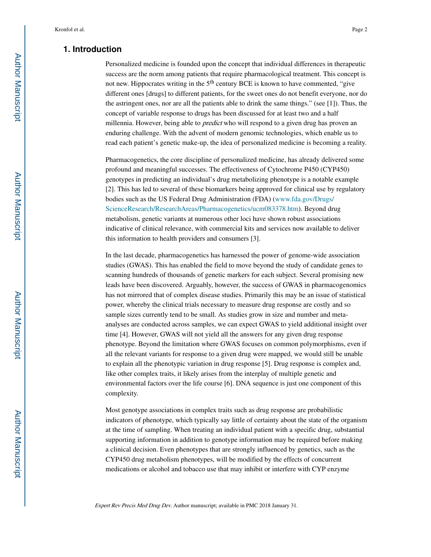#### **1. Introduction**

Personalized medicine is founded upon the concept that individual differences in therapeutic success are the norm among patients that require pharmacological treatment. This concept is not new. Hippocrates writing in the  $5<sup>th</sup>$  century BCE is known to have commented, "give different ones [drugs] to different patients, for the sweet ones do not benefit everyone, nor do the astringent ones, nor are all the patients able to drink the same things." (see [1]). Thus, the concept of variable response to drugs has been discussed for at least two and a half millennia. However, being able to *predict* who will respond to a given drug has proven an enduring challenge. With the advent of modern genomic technologies, which enable us to read each patient's genetic make-up, the idea of personalized medicine is becoming a reality.

Pharmacogenetics, the core discipline of personalized medicine, has already delivered some profound and meaningful successes. The effectiveness of Cytochrome P450 (CYP450) genotypes in predicting an individual's drug metabolizing phenotype is a notable example [2]. This has led to several of these biomarkers being approved for clinical use by regulatory bodies such as the US Federal Drug Administration (FDA) (www.fda.gov/Drugs/ ScienceResearch/ResearchAreas/Pharmacogenetics/ucm083378.htm). Beyond drug metabolism, genetic variants at numerous other loci have shown robust associations indicative of clinical relevance, with commercial kits and services now available to deliver this information to health providers and consumers [3].

In the last decade, pharmacogenetics has harnessed the power of genome-wide association studies (GWAS). This has enabled the field to move beyond the study of candidate genes to scanning hundreds of thousands of genetic markers for each subject. Several promising new leads have been discovered. Arguably, however, the success of GWAS in pharmacogenomics has not mirrored that of complex disease studies. Primarily this may be an issue of statistical power, whereby the clinical trials necessary to measure drug response are costly and so sample sizes currently tend to be small. As studies grow in size and number and metaanalyses are conducted across samples, we can expect GWAS to yield additional insight over time [4]. However, GWAS will not yield all the answers for any given drug response phenotype. Beyond the limitation where GWAS focuses on common polymorphisms, even if all the relevant variants for response to a given drug were mapped, we would still be unable to explain all the phenotypic variation in drug response [5]. Drug response is complex and, like other complex traits, it likely arises from the interplay of multiple genetic and environmental factors over the life course [6]. DNA sequence is just one component of this complexity.

Most genotype associations in complex traits such as drug response are probabilistic indicators of phenotype, which typically say little of certainty about the state of the organism at the time of sampling. When treating an individual patient with a specific drug, substantial supporting information in addition to genotype information may be required before making a clinical decision. Even phenotypes that are strongly influenced by genetics, such as the CYP450 drug metabolism phenotypes, will be modified by the effects of concurrent medications or alcohol and tobacco use that may inhibit or interfere with CYP enzyme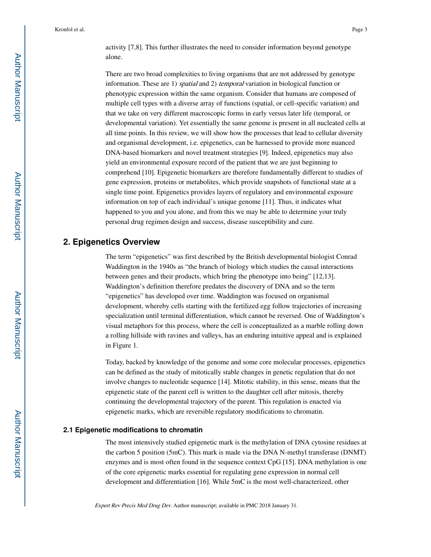There are two broad complexities to living organisms that are not addressed by genotype information. These are 1) *spatial* and 2) *temporal* variation in biological function or phenotypic expression within the same organism. Consider that humans are composed of multiple cell types with a diverse array of functions (spatial, or cell-specific variation) and that we take on very different macroscopic forms in early versus later life (temporal, or developmental variation). Yet essentially the same genome is present in all nucleated cells at all time points. In this review, we will show how the processes that lead to cellular diversity and organismal development, i.e. epigenetics, can be harnessed to provide more nuanced DNA-based biomarkers and novel treatment strategies [9]. Indeed, epigenetics may also yield an environmental exposure record of the patient that we are just beginning to comprehend [10]. Epigenetic biomarkers are therefore fundamentally different to studies of gene expression, proteins or metabolites, which provide snapshots of functional state at a single time point. Epigenetics provides layers of regulatory and environmental exposure information on top of each individual's unique genome [11]. Thus, it indicates what happened to you and you alone, and from this we may be able to determine your truly personal drug regimen design and success, disease susceptibility and cure.

#### **2. Epigenetics Overview**

The term "epigenetics" was first described by the British developmental biologist Conrad Waddington in the 1940s as "the branch of biology which studies the causal interactions between genes and their products, which bring the phenotype into being" [12,13]. Waddington's definition therefore predates the discovery of DNA and so the term "epigenetics" has developed over time. Waddington was focused on organismal development, whereby cells starting with the fertilized egg follow trajectories of increasing specialization until terminal differentiation, which cannot be reversed. One of Waddington's visual metaphors for this process, where the cell is conceptualized as a marble rolling down a rolling hillside with ravines and valleys, has an enduring intuitive appeal and is explained in Figure 1.

Today, backed by knowledge of the genome and some core molecular processes, epigenetics can be defined as the study of mitotically stable changes in genetic regulation that do not involve changes to nucleotide sequence [14]. Mitotic stability, in this sense, means that the epigenetic state of the parent cell is written to the daughter cell after mitosis, thereby continuing the developmental trajectory of the parent. This regulation is enacted via epigenetic marks, which are reversible regulatory modifications to chromatin.

#### **2.1 Epigenetic modifications to chromatin**

The most intensively studied epigenetic mark is the methylation of DNA cytosine residues at the carbon 5 position (5mC). This mark is made via the DNA N-methyl transferase (DNMT) enzymes and is most often found in the sequence context CpG [15]. DNA methylation is one of the core epigenetic marks essential for regulating gene expression in normal cell development and differentiation [16]. While 5mC is the most well-characterized, other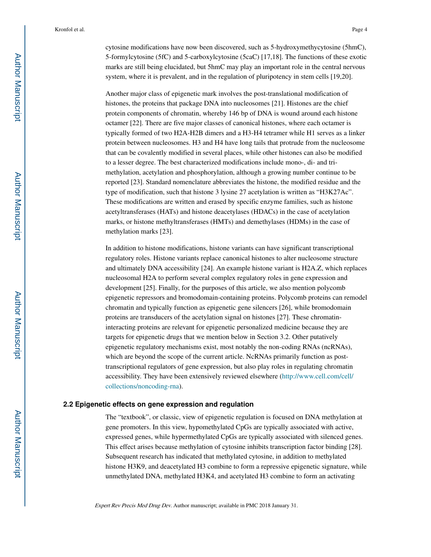cytosine modifications have now been discovered, such as 5-hydroxymethycytosine (5hmC), 5-formylcytosine (5fC) and 5-carboxylcytosine (5caC) [17,18]. The functions of these exotic marks are still being elucidated, but 5hmC may play an important role in the central nervous system, where it is prevalent, and in the regulation of pluripotency in stem cells [19,20].

Another major class of epigenetic mark involves the post-translational modification of histones, the proteins that package DNA into nucleosomes [21]. Histones are the chief protein components of chromatin, whereby 146 bp of DNA is wound around each histone octamer [22]. There are five major classes of canonical histones, where each octamer is typically formed of two H2A-H2B dimers and a H3-H4 tetramer while H1 serves as a linker protein between nucleosomes. H3 and H4 have long tails that protrude from the nucleosome that can be covalently modified in several places, while other histones can also be modified to a lesser degree. The best characterized modifications include mono-, di- and trimethylation, acetylation and phosphorylation, although a growing number continue to be reported [23]. Standard nomenclature abbreviates the histone, the modified residue and the type of modification, such that histone 3 lysine 27 acetylation is written as "H3K27Ac". These modifications are written and erased by specific enzyme families, such as histone acetyltransferases (HATs) and histone deacetylases (HDACs) in the case of acetylation marks, or histone methyltransferases (HMTs) and demethylases (HDMs) in the case of methylation marks [23].

In addition to histone modifications, histone variants can have significant transcriptional regulatory roles. Histone variants replace canonical histones to alter nucleosome structure and ultimately DNA accessibility [24]. An example histone variant is H2A.Z, which replaces nucleosomal H2A to perform several complex regulatory roles in gene expression and development [25]. Finally, for the purposes of this article, we also mention polycomb epigenetic repressors and bromodomain-containing proteins. Polycomb proteins can remodel chromatin and typically function as epigenetic gene silencers [26], while bromodomain proteins are transducers of the acetylation signal on histones [27]. These chromatininteracting proteins are relevant for epigenetic personalized medicine because they are targets for epigenetic drugs that we mention below in Section 3.2. Other putatively epigenetic regulatory mechanisms exist, most notably the non-coding RNAs (ncRNAs), which are beyond the scope of the current article. NcRNAs primarily function as posttranscriptional regulators of gene expression, but also play roles in regulating chromatin accessibility. They have been extensively reviewed elsewhere ([http://www.cell.com/cell/](http://www.cell.com/cell/collections/noncoding-rna) [collections/noncoding-rna](http://www.cell.com/cell/collections/noncoding-rna)).

#### **2.2 Epigenetic effects on gene expression and regulation**

The "textbook", or classic, view of epigenetic regulation is focused on DNA methylation at gene promoters. In this view, hypomethylated CpGs are typically associated with active, expressed genes, while hypermethylated CpGs are typically associated with silenced genes. This effect arises because methylation of cytosine inhibits transcription factor binding [28]. Subsequent research has indicated that methylated cytosine, in addition to methylated histone H3K9, and deacetylated H3 combine to form a repressive epigenetic signature, while unmethylated DNA, methylated H3K4, and acetylated H3 combine to form an activating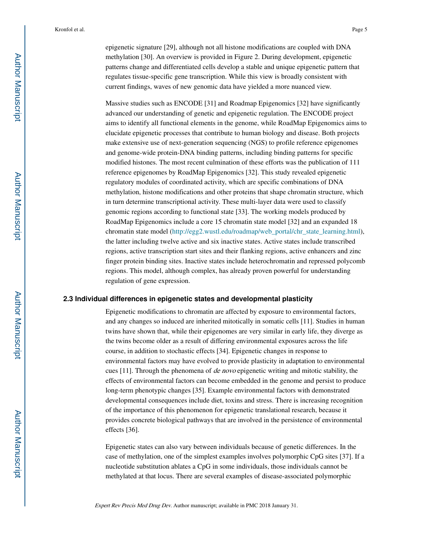epigenetic signature [29], although not all histone modifications are coupled with DNA methylation [30]. An overview is provided in Figure 2. During development, epigenetic patterns change and differentiated cells develop a stable and unique epigenetic pattern that regulates tissue-specific gene transcription. While this view is broadly consistent with current findings, waves of new genomic data have yielded a more nuanced view.

Massive studies such as ENCODE [31] and Roadmap Epigenomics [32] have significantly advanced our understanding of genetic and epigenetic regulation. The ENCODE project aims to identify all functional elements in the genome, while RoadMap Epigenomics aims to elucidate epigenetic processes that contribute to human biology and disease. Both projects make extensive use of next-generation sequencing (NGS) to profile reference epigenomes and genome-wide protein-DNA binding patterns, including binding patterns for specific modified histones. The most recent culmination of these efforts was the publication of 111 reference epigenomes by RoadMap Epigenomics [32]. This study revealed epigenetic regulatory modules of coordinated activity, which are specific combinations of DNA methylation, histone modifications and other proteins that shape chromatin structure, which in turn determine transcriptional activity. These multi-layer data were used to classify genomic regions according to functional state [33]. The working models produced by RoadMap Epigenomics include a core 15 chromatin state model [32] and an expanded 18 chromatin state model ([http://egg2.wustl.edu/roadmap/web\\_portal/chr\\_state\\_learning.html](http://egg2.wustl.edu/roadmap/web_portal/chr_state_learning.html)), the latter including twelve active and six inactive states. Active states include transcribed regions, active transcription start sites and their flanking regions, active enhancers and zinc finger protein binding sites. Inactive states include heterochromatin and repressed polycomb regions. This model, although complex, has already proven powerful for understanding regulation of gene expression.

#### **2.3 Individual differences in epigenetic states and developmental plasticity**

Epigenetic modifications to chromatin are affected by exposure to environmental factors, and any changes so induced are inherited mitotically in somatic cells [11]. Studies in human twins have shown that, while their epigenomes are very similar in early life, they diverge as the twins become older as a result of differing environmental exposures across the life course, in addition to stochastic effects [34]. Epigenetic changes in response to environmental factors may have evolved to provide plasticity in adaptation to environmental cues [11]. Through the phenomena of de novo epigenetic writing and mitotic stability, the effects of environmental factors can become embedded in the genome and persist to produce long-term phenotypic changes [35]. Example environmental factors with demonstrated developmental consequences include diet, toxins and stress. There is increasing recognition of the importance of this phenomenon for epigenetic translational research, because it provides concrete biological pathways that are involved in the persistence of environmental effects [36].

Epigenetic states can also vary between individuals because of genetic differences. In the case of methylation, one of the simplest examples involves polymorphic CpG sites [37]. If a nucleotide substitution ablates a CpG in some individuals, those individuals cannot be methylated at that locus. There are several examples of disease-associated polymorphic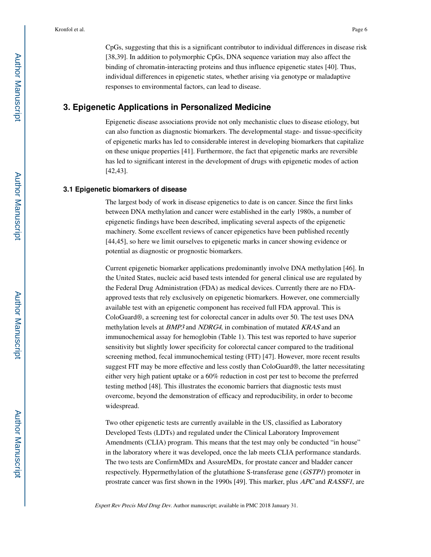CpGs, suggesting that this is a significant contributor to individual differences in disease risk [38,39]. In addition to polymorphic CpGs, DNA sequence variation may also affect the binding of chromatin-interacting proteins and thus influence epigenetic states [40]. Thus, individual differences in epigenetic states, whether arising via genotype or maladaptive responses to environmental factors, can lead to disease.

#### **3. Epigenetic Applications in Personalized Medicine**

Epigenetic disease associations provide not only mechanistic clues to disease etiology, but can also function as diagnostic biomarkers. The developmental stage- and tissue-specificity of epigenetic marks has led to considerable interest in developing biomarkers that capitalize on these unique properties [41]. Furthermore, the fact that epigenetic marks are reversible has led to significant interest in the development of drugs with epigenetic modes of action [42,43].

#### **3.1 Epigenetic biomarkers of disease**

The largest body of work in disease epigenetics to date is on cancer. Since the first links between DNA methylation and cancer were established in the early 1980s, a number of epigenetic findings have been described, implicating several aspects of the epigenetic machinery. Some excellent reviews of cancer epigenetics have been published recently [44,45], so here we limit ourselves to epigenetic marks in cancer showing evidence or potential as diagnostic or prognostic biomarkers.

Current epigenetic biomarker applications predominantly involve DNA methylation [46]. In the United States, nucleic acid based tests intended for general clinical use are regulated by the Federal Drug Administration (FDA) as medical devices. Currently there are no FDAapproved tests that rely exclusively on epigenetic biomarkers. However, one commercially available test with an epigenetic component has received full FDA approval. This is ColoGuard®, a screening test for colorectal cancer in adults over 50. The test uses DNA methylation levels at *BMP3* and *NDRG4*, in combination of mutated *KRAS* and an immunochemical assay for hemoglobin (Table 1). This test was reported to have superior sensitivity but slightly lower specificity for colorectal cancer compared to the traditional screening method, fecal immunochemical testing (FIT) [47]. However, more recent results suggest FIT may be more effective and less costly than ColoGuard®, the latter necessitating either very high patient uptake or a 60% reduction in cost per test to become the preferred testing method [48]. This illustrates the economic barriers that diagnostic tests must overcome, beyond the demonstration of efficacy and reproducibility, in order to become widespread.

Two other epigenetic tests are currently available in the US, classified as Laboratory Developed Tests (LDTs) and regulated under the Clinical Laboratory Improvement Amendments (CLIA) program. This means that the test may only be conducted "in house" in the laboratory where it was developed, once the lab meets CLIA performance standards. The two tests are ConfirmMDx and AssureMDx, for prostate cancer and bladder cancer respectively. Hypermethylation of the glutathione S-transferase gene (GSTP1) promoter in prostrate cancer was first shown in the 1990s [49]. This marker, plus APC and RASSF1, are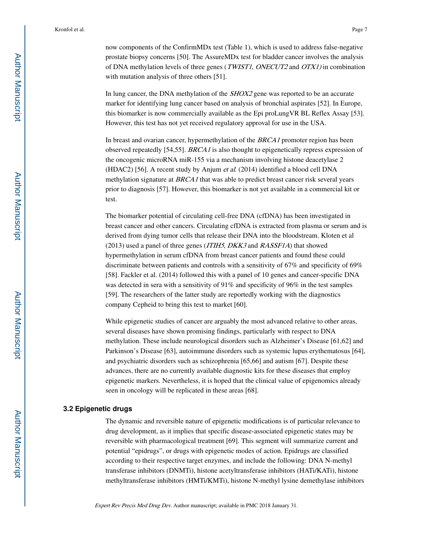now components of the ConfirmMDx test (Table 1), which is used to address false-negative prostate biopsy concerns [50]. The AssureMDx test for bladder cancer involves the analysis of DNA methylation levels of three genes (TWIST1, ONECUT2 and OTX1) in combination with mutation analysis of three others [51].

In lung cancer, the DNA methylation of the *SHOX2* gene was reported to be an accurate marker for identifying lung cancer based on analysis of bronchial aspirates [52]. In Europe, this biomarker is now commercially available as the Epi proLungVR BL Reflex Assay [53]. However, this test has not yet received regulatory approval for use in the USA.

In breast and ovarian cancer, hypermethylation of the BRCA1 promoter region has been observed repeatedly [54,55]. BRCA1 is also thought to epigenetically repress expression of the oncogenic microRNA miR-155 via a mechanism involving histone deacetylase 2 (HDAC2) [56]. A recent study by Anjum et al. (2014) identified a blood cell DNA methylation signature at  $BRCA1$  that was able to predict breast cancer risk several years prior to diagnosis [57]. However, this biomarker is not yet available in a commercial kit or test.

The biomarker potential of circulating cell-free DNA (cfDNA) has been investigated in breast cancer and other cancers. Circulating cfDNA is extracted from plasma or serum and is derived from dying tumor cells that release their DNA into the bloodstream. Kloten et al (2013) used a panel of three genes ( $ITIH5$ ,  $DKK3$  and  $RASSFIA$ ) that showed hypermethylation in serum cfDNA from breast cancer patients and found these could discriminate between patients and controls with a sensitivity of 67% and specificity of 69% [58]. Fackler et al. (2014) followed this with a panel of 10 genes and cancer-specific DNA was detected in sera with a sensitivity of 91% and specificity of 96% in the test samples [59]. The researchers of the latter study are reportedly working with the diagnostics company Cepheid to bring this test to market [60].

While epigenetic studies of cancer are arguably the most advanced relative to other areas, several diseases have shown promising findings, particularly with respect to DNA methylation. These include neurological disorders such as Alzheimer's Disease [61,62] and Parkinson's Disease [63], autoimmune disorders such as systemic lupus erythematosus [64], and psychiatric disorders such as schizophrenia [65,66] and autism [67]. Despite these advances, there are no currently available diagnostic kits for these diseases that employ epigenetic markers. Nevertheless, it is hoped that the clinical value of epigenomics already seen in oncology will be replicated in these areas [68].

#### **3.2 Epigenetic drugs**

The dynamic and reversible nature of epigenetic modifications is of particular relevance to drug development, as it implies that specific disease-associated epigenetic states may be reversible with pharmacological treatment [69]. This segment will summarize current and potential "epidrugs", or drugs with epigenetic modes of action. Epidrugs are classified according to their respective target enzymes, and include the following: DNA N-methyl transferase inhibitors (DNMTi), histone acetyltransferase inhibitors (HATi/KATi), histone methyltransferase inhibitors (HMTi/KMTi), histone N-methyl lysine demethylase inhibitors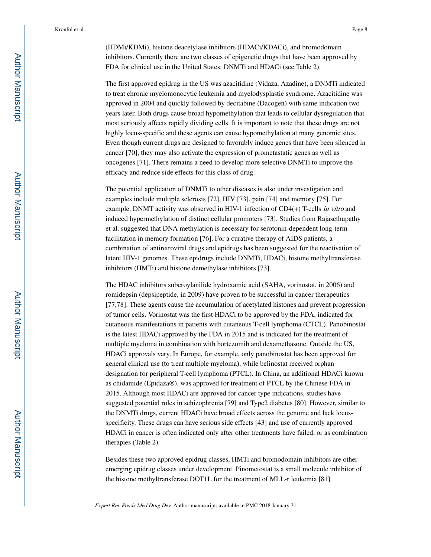(HDMi/KDMi), histone deacetylase inhibitors (HDACi/KDACi), and bromodomain inhibitors. Currently there are two classes of epigenetic drugs that have been approved by FDA for clinical use in the United States: DNMTi and HDACi (see Table 2).

The first approved epidrug in the US was azacitidine (Vidaza, Azadine), a DNMTi indicated to treat chronic myelomonocytic leukemia and myelodysplastic syndrome. Azacitidine was approved in 2004 and quickly followed by decitabine (Dacogen) with same indication two years later. Both drugs cause broad hypomethylation that leads to cellular dysregulation that most seriously affects rapidly dividing cells. It is important to note that these drugs are not highly locus-specific and these agents can cause hypomethylation at many genomic sites. Even though current drugs are designed to favorably induce genes that have been silenced in cancer [70], they may also activate the expression of prometastatic genes as well as oncogenes [71]. There remains a need to develop more selective DNMTi to improve the efficacy and reduce side effects for this class of drug.

The potential application of DNMTi to other diseases is also under investigation and examples include multiple sclerosis [72], HIV [73], pain [74] and memory [75]. For example, DNMT activity was observed in HIV-1 infection of CD4(+) T-cells in vitro and induced hypermethylation of distinct cellular promoters [73]. Studies from Rajasethupathy et al. suggested that DNA methylation is necessary for serotonin-dependent long-term facilitation in memory formation [76]. For a curative therapy of AIDS patients, a combination of antiretroviral drugs and epidrugs has been suggested for the reactivation of latent HIV-1 genomes. These epidrugs include DNMTi, HDACi, histone methyltransferase inhibitors (HMTi) and histone demethylase inhibitors [73].

The HDAC inhibitors suberoylanilide hydroxamic acid (SAHA, vorinostat, in 2006) and romidepsin (depsipeptide, in 2009) have proven to be successful in cancer therapeutics [77,78]. These agents cause the accumulation of acetylated histones and prevent progression of tumor cells. Vorinostat was the first HDACi to be approved by the FDA, indicated for cutaneous manifestations in patients with cutaneous T-cell lymphoma (CTCL). Panobinostat is the latest HDACi approved by the FDA in 2015 and is indicated for the treatment of multiple myeloma in combination with bortezomib and dexamethasone. Outside the US, HDACi approvals vary. In Europe, for example, only panobinostat has been approved for general clinical use (to treat multiple myeloma), while belinostat received orphan designation for peripheral T-cell lymphoma (PTCL). In China, an additional HDACi known as chidamide (Epidaza®), was approved for treatment of PTCL by the Chinese FDA in 2015. Although most HDACi are approved for cancer type indications, studies have suggested potential roles in schizophrenia [79] and Type2 diabetes [80]. However, similar to the DNMTi drugs, current HDACi have broad effects across the genome and lack locusspecificity. These drugs can have serious side effects [43] and use of currently approved HDACi in cancer is often indicated only after other treatments have failed, or as combination therapies (Table 2).

Besides these two approved epidrug classes, HMTi and bromodomain inhibitors are other emerging epidrug classes under development. Pinometostat is a small molecule inhibitor of the histone methyltransferase DOT1L for the treatment of MLL-r leukemia [81].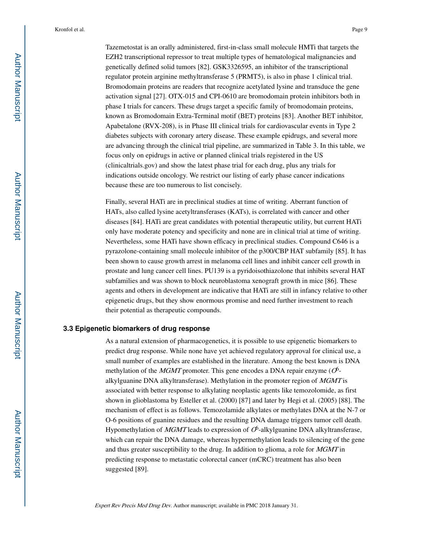Tazemetostat is an orally administered, first-in-class small molecule HMTi that targets the EZH2 transcriptional repressor to treat multiple types of hematological malignancies and genetically defined solid tumors [82]. GSK3326595, an inhibitor of the transcriptional regulator protein arginine methyltransferase 5 (PRMT5), is also in phase 1 clinical trial. Bromodomain proteins are readers that recognize acetylated lysine and transduce the gene activation signal [27]. OTX-015 and CPI-0610 are bromodomain protein inhibitors both in phase I trials for cancers. These drugs target a specific family of bromodomain proteins, known as Bromodomain Extra-Terminal motif (BET) proteins [83]. Another BET inhibitor, Apabetalone (RVX-208), is in Phase III clinical trials for cardiovascular events in Type 2 diabetes subjects with coronary artery disease. These example epidrugs, and several more are advancing through the clinical trial pipeline, are summarized in Table 3. In this table, we focus only on epidrugs in active or planned clinical trials registered in the US (clinicaltrials.gov) and show the latest phase trial for each drug, plus any trials for indications outside oncology. We restrict our listing of early phase cancer indications because these are too numerous to list concisely.

Finally, several HATi are in preclinical studies at time of writing. Aberrant function of HATs, also called lysine acetyltransferases (KATs), is correlated with cancer and other diseases [84]. HATi are great candidates with potential therapeutic utility, but current HATi only have moderate potency and specificity and none are in clinical trial at time of writing. Nevertheless, some HATi have shown efficacy in preclinical studies. Compound C646 is a pyrazolone-containing small molecule inhibitor of the p300/CBP HAT subfamily [85]. It has been shown to cause growth arrest in melanoma cell lines and inhibit cancer cell growth in prostate and lung cancer cell lines. PU139 is a pyridoisothiazolone that inhibits several HAT subfamilies and was shown to block neuroblastoma xenograft growth in mice [86]. These agents and others in development are indicative that HATi are still in infancy relative to other epigenetic drugs, but they show enormous promise and need further investment to reach their potential as therapeutic compounds.

#### **3.3 Epigenetic biomarkers of drug response**

As a natural extension of pharmacogenetics, it is possible to use epigenetic biomarkers to predict drug response. While none have yet achieved regulatory approval for clinical use, a small number of examples are established in the literature. Among the best known is DNA methylation of the *MGMT* promoter. This gene encodes a DNA repair enzyme ( $O^6$ alkylguanine DNA alkyltransferase). Methylation in the promoter region of MGMT is associated with better response to alkylating neoplastic agents like temozolomide, as first shown in glioblastoma by Esteller et al. (2000) [87] and later by Hegi et al. (2005) [88]. The mechanism of effect is as follows. Temozolamide alkylates or methylates DNA at the N-7 or O-6 positions of guanine residues and the resulting DNA damage triggers tumor cell death. Hypomethylation of *MGMT* leads to expression of  $O<sup>6</sup>$ -alkylguanine DNA alkyltransferase, which can repair the DNA damage, whereas hypermethylation leads to silencing of the gene and thus greater susceptibility to the drug. In addition to glioma, a role for MGMT in predicting response to metastatic colorectal cancer (mCRC) treatment has also been suggested [89].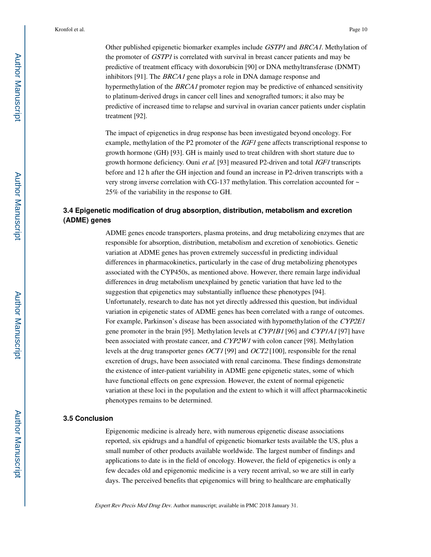Other published epigenetic biomarker examples include GSTP1 and BRCA1. Methylation of the promoter of GSTP1 is correlated with survival in breast cancer patients and may be predictive of treatment efficacy with doxorubicin [90] or DNA methyltransferase (DNMT) inhibitors [91]. The *BRCA1* gene plays a role in DNA damage response and hypermethylation of the *BRCA1* promoter region may be predictive of enhanced sensitivity to platinum-derived drugs in cancer cell lines and xenografted tumors; it also may be predictive of increased time to relapse and survival in ovarian cancer patients under cisplatin treatment [92].

The impact of epigenetics in drug response has been investigated beyond oncology. For example, methylation of the P2 promoter of the *IGF1* gene affects transcriptional response to growth hormone (GH) [93]. GH is mainly used to treat children with short stature due to growth hormone deficiency. Ouni et al. [93] measured P2-driven and total IGF1 transcripts before and 12 h after the GH injection and found an increase in P2-driven transcripts with a very strong inverse correlation with CG-137 methylation. This correlation accounted for  $\sim$ 25% of the variability in the response to GH.

#### **3.4 Epigenetic modification of drug absorption, distribution, metabolism and excretion (ADME) genes**

ADME genes encode transporters, plasma proteins, and drug metabolizing enzymes that are responsible for absorption, distribution, metabolism and excretion of xenobiotics. Genetic variation at ADME genes has proven extremely successful in predicting individual differences in pharmacokinetics, particularly in the case of drug metabolizing phenotypes associated with the CYP450s, as mentioned above. However, there remain large individual differences in drug metabolism unexplained by genetic variation that have led to the suggestion that epigenetics may substantially influence these phenotypes [94]. Unfortunately, research to date has not yet directly addressed this question, but individual variation in epigenetic states of ADME genes has been correlated with a range of outcomes. For example, Parkinson's disease has been associated with hypomethylation of the CYP2E1 gene promoter in the brain [95]. Methylation levels at CYP1B1 [96] and CYP1A1 [97] have been associated with prostate cancer, and CYP2W1 with colon cancer [98]. Methylation levels at the drug transporter genes *OCT1* [99] and *OCT2* [100], responsible for the renal excretion of drugs, have been associated with renal carcinoma. These findings demonstrate the existence of inter-patient variability in ADME gene epigenetic states, some of which have functional effects on gene expression. However, the extent of normal epigenetic variation at these loci in the population and the extent to which it will affect pharmacokinetic phenotypes remains to be determined.

#### **3.5 Conclusion**

Epigenomic medicine is already here, with numerous epigenetic disease associations reported, six epidrugs and a handful of epigenetic biomarker tests available the US, plus a small number of other products available worldwide. The largest number of findings and applications to date is in the field of oncology. However, the field of epigenetics is only a few decades old and epigenomic medicine is a very recent arrival, so we are still in early days. The perceived benefits that epigenomics will bring to healthcare are emphatically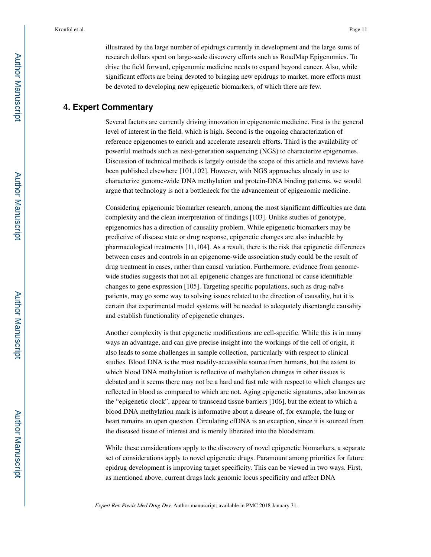illustrated by the large number of epidrugs currently in development and the large sums of research dollars spent on large-scale discovery efforts such as RoadMap Epigenomics. To drive the field forward, epigenomic medicine needs to expand beyond cancer. Also, while significant efforts are being devoted to bringing new epidrugs to market, more efforts must be devoted to developing new epigenetic biomarkers, of which there are few.

#### **4. Expert Commentary**

Several factors are currently driving innovation in epigenomic medicine. First is the general level of interest in the field, which is high. Second is the ongoing characterization of reference epigenomes to enrich and accelerate research efforts. Third is the availability of powerful methods such as next-generation sequencing (NGS) to characterize epigenomes. Discussion of technical methods is largely outside the scope of this article and reviews have been published elsewhere [101,102]. However, with NGS approaches already in use to characterize genome-wide DNA methylation and protein-DNA binding patterns, we would argue that technology is not a bottleneck for the advancement of epigenomic medicine.

Considering epigenomic biomarker research, among the most significant difficulties are data complexity and the clean interpretation of findings [103]. Unlike studies of genotype, epigenomics has a direction of causality problem. While epigenetic biomarkers may be predictive of disease state or drug response, epigenetic changes are also inducible by pharmacological treatments [11,104]. As a result, there is the risk that epigenetic differences between cases and controls in an epigenome-wide association study could be the result of drug treatment in cases, rather than causal variation. Furthermore, evidence from genomewide studies suggests that not all epigenetic changes are functional or cause identifiable changes to gene expression [105]. Targeting specific populations, such as drug-naïve patients, may go some way to solving issues related to the direction of causality, but it is certain that experimental model systems will be needed to adequately disentangle causality and establish functionality of epigenetic changes.

Another complexity is that epigenetic modifications are cell-specific. While this is in many ways an advantage, and can give precise insight into the workings of the cell of origin, it also leads to some challenges in sample collection, particularly with respect to clinical studies. Blood DNA is the most readily-accessible source from humans, but the extent to which blood DNA methylation is reflective of methylation changes in other tissues is debated and it seems there may not be a hard and fast rule with respect to which changes are reflected in blood as compared to which are not. Aging epigenetic signatures, also known as the "epigenetic clock", appear to transcend tissue barriers [106], but the extent to which a blood DNA methylation mark is informative about a disease of, for example, the lung or heart remains an open question. Circulating cfDNA is an exception, since it is sourced from the diseased tissue of interest and is merely liberated into the bloodstream.

While these considerations apply to the discovery of novel epigenetic biomarkers, a separate set of considerations apply to novel epigenetic drugs. Paramount among priorities for future epidrug development is improving target specificity. This can be viewed in two ways. First, as mentioned above, current drugs lack genomic locus specificity and affect DNA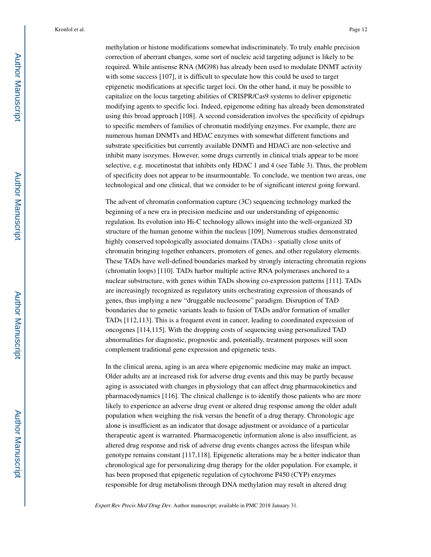methylation or histone modifications somewhat indiscriminately. To truly enable precision correction of aberrant changes, some sort of nucleic acid targeting adjunct is likely to be required. While antisense RNA (MG98) has already been used to modulate DNMT activity with some success [107], it is difficult to speculate how this could be used to target epigenetic modifications at specific target loci. On the other hand, it may be possible to capitalize on the locus targeting abilities of CRISPR/Cas9 systems to deliver epigenetic modifying agents to specific loci. Indeed, epigenome editing has already been demonstrated using this broad approach [108]. A second consideration involves the specificity of epidrugs to specific members of families of chromatin modifying enzymes. For example, there are numerous human DNMTs and HDAC enzymes with somewhat different functions and substrate specificities but currently available DNMTi and HDACi are non-selective and inhibit many isozymes. However, some drugs currently in clinical trials appear to be more selective, e.g. mocetinostat that inhibits only HDAC 1 and 4 (see Table 3). Thus, the problem of specificity does not appear to be insurmountable. To conclude, we mention two areas, one technological and one clinical, that we consider to be of significant interest going forward.

The advent of chromatin conformation capture (3C) sequencing technology marked the beginning of a new era in precision medicine and our understanding of epigenomic regulation. Its evolution into Hi-C technology allows insight into the well-organized 3D structure of the human genome within the nucleus [109]. Numerous studies demonstrated highly conserved topologically associated domains (TADs) - spatially close units of chromatin bringing together enhancers, promoters of genes, and other regulatory elements. These TADs have well-defined boundaries marked by strongly interacting chromatin regions (chromatin loops) [110]. TADs harbor multiple active RNA polymerases anchored to a nuclear substructure, with genes within TADs showing co-expression patterns [111]. TADs are increasingly recognized as regulatory units orchestrating expression of thousands of genes, thus implying a new "druggable nucleosome" paradigm. Disruption of TAD boundaries due to genetic variants leads to fusion of TADs and/or formation of smaller TADs [112,113]. This is a frequent event in cancer, leading to coordinated expression of oncogenes [114,115]. With the dropping costs of sequencing using personalized TAD abnormalities for diagnostic, prognostic and, potentially, treatment purposes will soon complement traditional gene expression and epigenetic tests.

In the clinical arena, aging is an area where epigenomic medicine may make an impact. Older adults are at increased risk for adverse drug events and this may be partly because aging is associated with changes in physiology that can affect drug pharmacokinetics and pharmacodynamics [116]. The clinical challenge is to identify those patients who are more likely to experience an adverse drug event or altered drug response among the older adult population when weighing the risk versus the benefit of a drug therapy. Chronologic age alone is insufficient as an indicator that dosage adjustment or avoidance of a particular therapeutic agent is warranted. Pharmacogenetic information alone is also insufficient, as altered drug response and risk of adverse drug events changes across the lifespan while genotype remains constant [117,118]. Epigenetic alterations may be a better indicator than chronological age for personalizing drug therapy for the older population. For example, it has been proposed that epigenetic regulation of cytochrome P450 (CYP) enzymes responsible for drug metabolism through DNA methylation may result in altered drug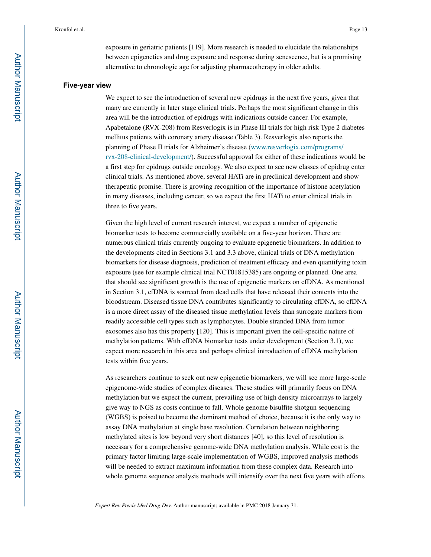exposure in geriatric patients [119]. More research is needed to elucidate the relationships between epigenetics and drug exposure and response during senescence, but is a promising alternative to chronologic age for adjusting pharmacotherapy in older adults.

#### **Five-year view**

We expect to see the introduction of several new epidrugs in the next five years, given that many are currently in later stage clinical trials. Perhaps the most significant change in this area will be the introduction of epidrugs with indications outside cancer. For example, Apabetalone (RVX-208) from Resverlogix is in Phase III trials for high risk Type 2 diabetes mellitus patients with coronary artery disease (Table 3). Resverlogix also reports the planning of Phase II trials for Alzheimer's disease (www.resverlogix.com/programs/ rvx-208-clinical-development/). Successful approval for either of these indications would be a first step for epidrugs outside oncology. We also expect to see new classes of epidrug enter clinical trials. As mentioned above, several HATi are in preclinical development and show therapeutic promise. There is growing recognition of the importance of histone acetylation in many diseases, including cancer, so we expect the first HATi to enter clinical trials in three to five years.

Given the high level of current research interest, we expect a number of epigenetic biomarker tests to become commercially available on a five-year horizon. There are numerous clinical trials currently ongoing to evaluate epigenetic biomarkers. In addition to the developments cited in Sections 3.1 and 3.3 above, clinical trials of DNA methylation biomarkers for disease diagnosis, prediction of treatment efficacy and even quantifying toxin exposure (see for example clinical trial NCT01815385) are ongoing or planned. One area that should see significant growth is the use of epigenetic markers on cfDNA. As mentioned in Section 3.1, cfDNA is sourced from dead cells that have released their contents into the bloodstream. Diseased tissue DNA contributes significantly to circulating cfDNA, so cfDNA is a more direct assay of the diseased tissue methylation levels than surrogate markers from readily accessible cell types such as lymphocytes. Double stranded DNA from tumor exosomes also has this property [120]. This is important given the cell-specific nature of methylation patterns. With cfDNA biomarker tests under development (Section 3.1), we expect more research in this area and perhaps clinical introduction of cfDNA methylation tests within five years.

As researchers continue to seek out new epigenetic biomarkers, we will see more large-scale epigenome-wide studies of complex diseases. These studies will primarily focus on DNA methylation but we expect the current, prevailing use of high density microarrays to largely give way to NGS as costs continue to fall. Whole genome bisulfite shotgun sequencing (WGBS) is poised to become the dominant method of choice, because it is the only way to assay DNA methylation at single base resolution. Correlation between neighboring methylated sites is low beyond very short distances [40], so this level of resolution is necessary for a comprehensive genome-wide DNA methylation analysis. While cost is the primary factor limiting large-scale implementation of WGBS, improved analysis methods will be needed to extract maximum information from these complex data. Research into whole genome sequence analysis methods will intensify over the next five years with efforts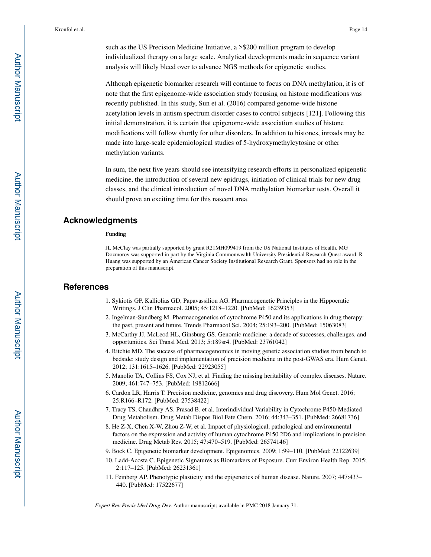such as the US Precision Medicine Initiative, a >\$200 million program to develop individualized therapy on a large scale. Analytical developments made in sequence variant analysis will likely bleed over to advance NGS methods for epigenetic studies.

Although epigenetic biomarker research will continue to focus on DNA methylation, it is of note that the first epigenome-wide association study focusing on histone modifications was recently published. In this study, Sun et al. (2016) compared genome-wide histone acetylation levels in autism spectrum disorder cases to control subjects [121]. Following this initial demonstration, it is certain that epigenome-wide association studies of histone modifications will follow shortly for other disorders. In addition to histones, inroads may be made into large-scale epidemiological studies of 5-hydroxymethylcytosine or other methylation variants.

In sum, the next five years should see intensifying research efforts in personalized epigenetic medicine, the introduction of several new epidrugs, initiation of clinical trials for new drug classes, and the clinical introduction of novel DNA methylation biomarker tests. Overall it should prove an exciting time for this nascent area.

#### **Acknowledgments**

#### **Funding**

JL McClay was partially supported by grant R21MH099419 from the US National Institutes of Health. MG Dozmorov was supported in part by the Virginia Commonwealth University Presidential Research Quest award. R Huang was supported by an American Cancer Society Institutional Research Grant. Sponsors had no role in the preparation of this manuscript.

#### **References**

- 1. Sykiotis GP, Kalliolias GD, Papavassiliou AG. Pharmacogenetic Principles in the Hippocratic Writings. J Clin Pharmacol. 2005; 45:1218–1220. [PubMed: 16239353]
- 2. Ingelman-Sundberg M. Pharmacogenetics of cytochrome P450 and its applications in drug therapy: the past, present and future. Trends Pharmacol Sci. 2004; 25:193–200. [PubMed: 15063083]
- 3. McCarthy JJ, McLeod HL, Ginsburg GS. Genomic medicine: a decade of successes, challenges, and opportunities. Sci Transl Med. 2013; 5:189sr4. [PubMed: 23761042]
- 4. Ritchie MD. The success of pharmacogenomics in moving genetic association studies from bench to bedside: study design and implementation of precision medicine in the post-GWAS era. Hum Genet. 2012; 131:1615–1626. [PubMed: 22923055]
- 5. Manolio TA, Collins FS, Cox NJ, et al. Finding the missing heritability of complex diseases. Nature. 2009; 461:747–753. [PubMed: 19812666]
- 6. Cardon LR, Harris T. Precision medicine, genomics and drug discovery. Hum Mol Genet. 2016; 25:R166–R172. [PubMed: 27538422]
- 7. Tracy TS, Chaudhry AS, Prasad B, et al. Interindividual Variability in Cytochrome P450-Mediated Drug Metabolism. Drug Metab Dispos Biol Fate Chem. 2016; 44:343–351. [PubMed: 26681736]
- 8. He Z-X, Chen X-W, Zhou Z-W, et al. Impact of physiological, pathological and environmental factors on the expression and activity of human cytochrome P450 2D6 and implications in precision medicine. Drug Metab Rev. 2015; 47:470–519. [PubMed: 26574146]
- 9. Bock C. Epigenetic biomarker development. Epigenomics. 2009; 1:99–110. [PubMed: 22122639]
- 10. Ladd-Acosta C. Epigenetic Signatures as Biomarkers of Exposure. Curr Environ Health Rep. 2015; 2:117–125. [PubMed: 26231361]
- 11. Feinberg AP. Phenotypic plasticity and the epigenetics of human disease. Nature. 2007; 447:433– 440. [PubMed: 17522677]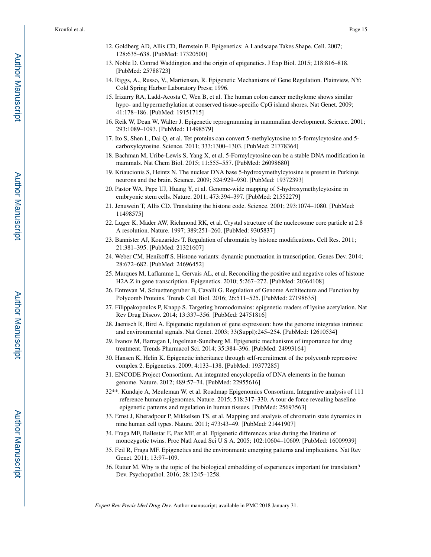- 12. Goldberg AD, Allis CD, Bernstein E. Epigenetics: A Landscape Takes Shape. Cell. 2007; 128:635–638. [PubMed: 17320500]
- 13. Noble D. Conrad Waddington and the origin of epigenetics. J Exp Biol. 2015; 218:816–818. [PubMed: 25788723]
- 14. Riggs, A., Russo, V., Martiensen, R. Epigenetic Mechanisms of Gene Regulation. Plainview, NY: Cold Spring Harbor Laboratory Press; 1996.
- 15. Irizarry RA, Ladd-Acosta C, Wen B, et al. The human colon cancer methylome shows similar hypo- and hypermethylation at conserved tissue-specific CpG island shores. Nat Genet. 2009; 41:178–186. [PubMed: 19151715]
- 16. Reik W, Dean W, Walter J. Epigenetic reprogramming in mammalian development. Science. 2001; 293:1089–1093. [PubMed: 11498579]
- 17. Ito S, Shen L, Dai Q, et al. Tet proteins can convert 5-methylcytosine to 5-formylcytosine and 5 carboxylcytosine. Science. 2011; 333:1300–1303. [PubMed: 21778364]
- 18. Bachman M, Uribe-Lewis S, Yang X, et al. 5-Formylcytosine can be a stable DNA modification in mammals. Nat Chem Biol. 2015; 11:555–557. [PubMed: 26098680]
- 19. Kriaucionis S, Heintz N. The nuclear DNA base 5-hydroxymethylcytosine is present in Purkinje neurons and the brain. Science. 2009; 324:929–930. [PubMed: 19372393]
- 20. Pastor WA, Pape UJ, Huang Y, et al. Genome-wide mapping of 5-hydroxymethylcytosine in embryonic stem cells. Nature. 2011; 473:394–397. [PubMed: 21552279]
- 21. Jenuwein T, Allis CD. Translating the histone code. Science. 2001; 293:1074–1080. [PubMed: 11498575]
- 22. Luger K, Mäder AW, Richmond RK, et al. Crystal structure of the nucleosome core particle at 2.8 A resolution. Nature. 1997; 389:251–260. [PubMed: 9305837]
- 23. Bannister AJ, Kouzarides T. Regulation of chromatin by histone modifications. Cell Res. 2011; 21:381–395. [PubMed: 21321607]
- 24. Weber CM, Henikoff S. Histone variants: dynamic punctuation in transcription. Genes Dev. 2014; 28:672–682. [PubMed: 24696452]
- 25. Marques M, Laflamme L, Gervais AL, et al. Reconciling the positive and negative roles of histone H2A.Z in gene transcription. Epigenetics. 2010; 5:267–272. [PubMed: 20364108]
- 26. Entrevan M, Schuettengruber B, Cavalli G. Regulation of Genome Architecture and Function by Polycomb Proteins. Trends Cell Biol. 2016; 26:511–525. [PubMed: 27198635]
- 27. Filippakopoulos P, Knapp S. Targeting bromodomains: epigenetic readers of lysine acetylation. Nat Rev Drug Discov. 2014; 13:337–356. [PubMed: 24751816]
- 28. Jaenisch R, Bird A. Epigenetic regulation of gene expression: how the genome integrates intrinsic and environmental signals. Nat Genet. 2003; 33(Suppl):245–254. [PubMed: 12610534]
- 29. Ivanov M, Barragan I, Ingelman-Sundberg M. Epigenetic mechanisms of importance for drug treatment. Trends Pharmacol Sci. 2014; 35:384–396. [PubMed: 24993164]
- 30. Hansen K, Helin K. Epigenetic inheritance through self-recruitment of the polycomb repressive complex 2. Epigenetics. 2009; 4:133–138. [PubMed: 19377285]
- 31. ENCODE Project Consortium. An integrated encyclopedia of DNA elements in the human genome. Nature. 2012; 489:57–74. [PubMed: 22955616]
- 32\*\*. Kundaje A, Meuleman W, et al. Roadmap Epigenomics Consortium. Integrative analysis of 111 reference human epigenomes. Nature. 2015; 518:317–330. A tour de force revealing baseline epigenetic patterns and regulation in human tissues. [PubMed: 25693563]
- 33. Ernst J, Kheradpour P, Mikkelsen TS, et al. Mapping and analysis of chromatin state dynamics in nine human cell types. Nature. 2011; 473:43–49. [PubMed: 21441907]
- 34. Fraga MF, Ballestar E, Paz MF, et al. Epigenetic differences arise during the lifetime of monozygotic twins. Proc Natl Acad Sci U S A. 2005; 102:10604–10609. [PubMed: 16009939]
- 35. Feil R, Fraga MF. Epigenetics and the environment: emerging patterns and implications. Nat Rev Genet. 2011; 13:97–109.
- 36. Rutter M. Why is the topic of the biological embedding of experiences important for translation? Dev. Psychopathol. 2016; 28:1245–1258.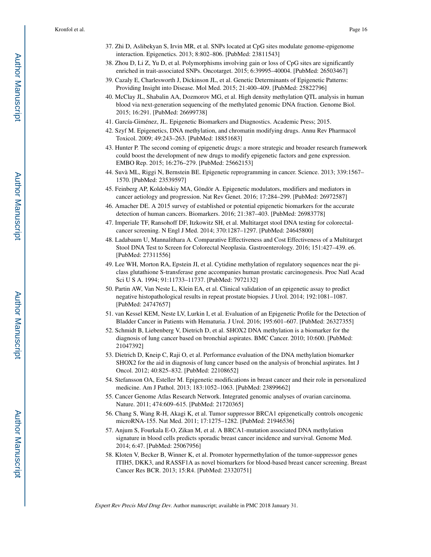- 37. Zhi D, Aslibekyan S, Irvin MR, et al. SNPs located at CpG sites modulate genome-epigenome interaction. Epigenetics. 2013; 8:802–806. [PubMed: 23811543]
- 38. Zhou D, Li Z, Yu D, et al. Polymorphisms involving gain or loss of CpG sites are significantly enriched in trait-associated SNPs. Oncotarget. 2015; 6:39995–40004. [PubMed: 26503467]
- 39. Cazaly E, Charlesworth J, Dickinson JL, et al. Genetic Determinants of Epigenetic Patterns: Providing Insight into Disease. Mol Med. 2015; 21:400–409. [PubMed: 25822796]
- 40. McClay JL, Shabalin AA, Dozmorov MG, et al. High density methylation QTL analysis in human blood via next-generation sequencing of the methylated genomic DNA fraction. Genome Biol. 2015; 16:291. [PubMed: 26699738]
- 41. García-Giménez, JL. Epigenetic Biomarkers and Diagnostics. Academic Press; 2015.
- 42. Szyf M. Epigenetics, DNA methylation, and chromatin modifying drugs. Annu Rev Pharmacol Toxicol. 2009; 49:243–263. [PubMed: 18851683]
- 43. Hunter P. The second coming of epigenetic drugs: a more strategic and broader research framework could boost the development of new drugs to modify epigenetic factors and gene expression. EMBO Rep. 2015; 16:276–279. [PubMed: 25662153]
- 44. Suvà ML, Riggi N, Bernstein BE. Epigenetic reprogramming in cancer. Science. 2013; 339:1567– 1570. [PubMed: 23539597]
- 45. Feinberg AP, Koldobskiy MA, Göndör A. Epigenetic modulators, modifiers and mediators in cancer aetiology and progression. Nat Rev Genet. 2016; 17:284–299. [PubMed: 26972587]
- 46. Amacher DE. A 2015 survey of established or potential epigenetic biomarkers for the accurate detection of human cancers. Biomarkers. 2016; 21:387–403. [PubMed: 26983778]
- 47. Imperiale TF, Ransohoff DF, Itzkowitz SH, et al. Multitarget stool DNA testing for colorectalcancer screening. N Engl J Med. 2014; 370:1287–1297. [PubMed: 24645800]
- 48. Ladabaum U, Mannalithara A. Comparative Effectiveness and Cost Effectiveness of a Multitarget Stool DNA Test to Screen for Colorectal Neoplasia. Gastroenterology. 2016; 151:427–439. e6. [PubMed: 27311556]
- 49. Lee WH, Morton RA, Epstein JI, et al. Cytidine methylation of regulatory sequences near the piclass glutathione S-transferase gene accompanies human prostatic carcinogenesis. Proc Natl Acad Sci U S A. 1994; 91:11733–11737. [PubMed: 7972132]
- 50. Partin AW, Van Neste L, Klein EA, et al. Clinical validation of an epigenetic assay to predict negative histopathological results in repeat prostate biopsies. J Urol. 2014; 192:1081–1087. [PubMed: 24747657]
- 51. van Kessel KEM, Neste LV, Lurkin I, et al. Evaluation of an Epigenetic Profile for the Detection of Bladder Cancer in Patients with Hematuria. J Urol. 2016; 195:601–607. [PubMed: 26327355]
- 52. Schmidt B, Liebenberg V, Dietrich D, et al. SHOX2 DNA methylation is a biomarker for the diagnosis of lung cancer based on bronchial aspirates. BMC Cancer. 2010; 10:600. [PubMed: 21047392]
- 53. Dietrich D, Kneip C, Raji O, et al. Performance evaluation of the DNA methylation biomarker SHOX2 for the aid in diagnosis of lung cancer based on the analysis of bronchial aspirates. Int J Oncol. 2012; 40:825–832. [PubMed: 22108652]
- 54. Stefansson OA, Esteller M. Epigenetic modifications in breast cancer and their role in personalized medicine. Am J Pathol. 2013; 183:1052–1063. [PubMed: 23899662]
- 55. Cancer Genome Atlas Research Network. Integrated genomic analyses of ovarian carcinoma. Nature. 2011; 474:609–615. [PubMed: 21720365]
- 56. Chang S, Wang R-H, Akagi K, et al. Tumor suppressor BRCA1 epigenetically controls oncogenic microRNA-155. Nat Med. 2011; 17:1275–1282. [PubMed: 21946536]
- 57. Anjum S, Fourkala E-O, Zikan M, et al. A BRCA1-mutation associated DNA methylation signature in blood cells predicts sporadic breast cancer incidence and survival. Genome Med. 2014; 6:47. [PubMed: 25067956]
- 58. Kloten V, Becker B, Winner K, et al. Promoter hypermethylation of the tumor-suppressor genes ITIH5, DKK3, and RASSF1A as novel biomarkers for blood-based breast cancer screening. Breast Cancer Res BCR. 2013; 15:R4. [PubMed: 23320751]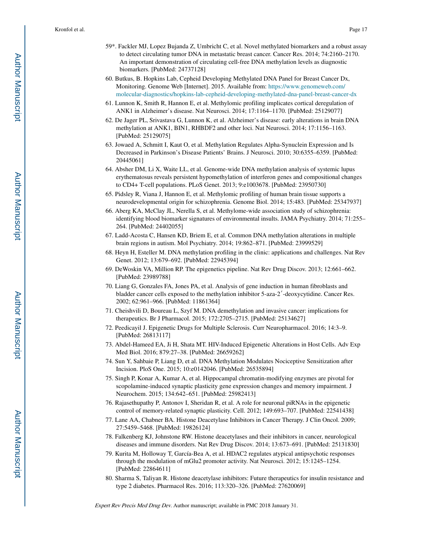- 59\*. Fackler MJ, Lopez Bujanda Z, Umbricht C, et al. Novel methylated biomarkers and a robust assay to detect circulating tumor DNA in metastatic breast cancer. Cancer Res. 2014; 74:2160–2170. An important demonstration of circulating cell-free DNA methylation levels as diagnostic biomarkers. [PubMed: 24737128]
- 60. Butkus, B. Hopkins Lab, Cepheid Developing Methylated DNA Panel for Breast Cancer Dx, Monitoring. Genome Web [Internet]. 2015. Available from: [https://www.genomeweb.com/](https://www.genomeweb.com/molecular-diagnostics/hopkins-lab-cepheid-developing-methylated-dna-panel-breast-cancer-dx) [molecular-diagnostics/hopkins-lab-cepheid-developing-methylated-dna-panel-breast-cancer-dx](https://www.genomeweb.com/molecular-diagnostics/hopkins-lab-cepheid-developing-methylated-dna-panel-breast-cancer-dx)
- 61. Lunnon K, Smith R, Hannon E, et al. Methylomic profiling implicates cortical deregulation of ANK1 in Alzheimer's disease. Nat Neurosci. 2014; 17:1164–1170. [PubMed: 25129077]
- 62. De Jager PL, Srivastava G, Lunnon K, et al. Alzheimer's disease: early alterations in brain DNA methylation at ANK1, BIN1, RHBDF2 and other loci. Nat Neurosci. 2014; 17:1156–1163. [PubMed: 25129075]
- 63. Jowaed A, Schmitt I, Kaut O, et al. Methylation Regulates Alpha-Synuclein Expression and Is Decreased in Parkinson's Disease Patients' Brains. J Neurosci. 2010; 30:6355–6359. [PubMed: 20445061]
- 64. Absher DM, Li X, Waite LL, et al. Genome-wide DNA methylation analysis of systemic lupus erythematosus reveals persistent hypomethylation of interferon genes and compositional changes to CD4+ T-cell populations. PLoS Genet. 2013; 9:e1003678. [PubMed: 23950730]
- 65. Pidsley R, Viana J, Hannon E, et al. Methylomic profiling of human brain tissue supports a neurodevelopmental origin for schizophrenia. Genome Biol. 2014; 15:483. [PubMed: 25347937]
- 66. Aberg KA, McClay JL, Nerella S, et al. Methylome-wide association study of schizophrenia: identifying blood biomarker signatures of environmental insults. JAMA Psychiatry. 2014; 71:255– 264. [PubMed: 24402055]
- 67. Ladd-Acosta C, Hansen KD, Briem E, et al. Common DNA methylation alterations in multiple brain regions in autism. Mol Psychiatry. 2014; 19:862–871. [PubMed: 23999529]
- 68. Heyn H, Esteller M. DNA methylation profiling in the clinic: applications and challenges. Nat Rev Genet. 2012; 13:679–692. [PubMed: 22945394]
- 69. DeWoskin VA, Million RP. The epigenetics pipeline. Nat Rev Drug Discov. 2013; 12:661–662. [PubMed: 23989788]
- 70. Liang G, Gonzales FA, Jones PA, et al. Analysis of gene induction in human fibroblasts and bladder cancer cells exposed to the methylation inhibitor 5-aza-2′-deoxycytidine. Cancer Res. 2002; 62:961–966. [PubMed: 11861364]
- 71. Cheishvili D, Boureau L, Szyf M. DNA demethylation and invasive cancer: implications for therapeutics. Br J Pharmacol. 2015; 172:2705–2715. [PubMed: 25134627]
- 72. Peedicayil J. Epigenetic Drugs for Multiple Sclerosis. Curr Neuropharmacol. 2016; 14:3–9. [PubMed: 26813117]
- 73. Abdel-Hameed EA, Ji H, Shata MT. HIV-Induced Epigenetic Alterations in Host Cells. Adv Exp Med Biol. 2016; 879:27–38. [PubMed: 26659262]
- 74. Sun Y, Sahbaie P, Liang D, et al. DNA Methylation Modulates Nociceptive Sensitization after Incision. PloS One. 2015; 10:e0142046. [PubMed: 26535894]
- 75. Singh P, Konar A, Kumar A, et al. Hippocampal chromatin-modifying enzymes are pivotal for scopolamine-induced synaptic plasticity gene expression changes and memory impairment. J Neurochem. 2015; 134:642–651. [PubMed: 25982413]
- 76. Rajasethupathy P, Antonov I, Sheridan R, et al. A role for neuronal piRNAs in the epigenetic control of memory-related synaptic plasticity. Cell. 2012; 149:693–707. [PubMed: 22541438]
- 77. Lane AA, Chabner BA. Histone Deacetylase Inhibitors in Cancer Therapy. J Clin Oncol. 2009; 27:5459–5468. [PubMed: 19826124]
- 78. Falkenberg KJ, Johnstone RW. Histone deacetylases and their inhibitors in cancer, neurological diseases and immune disorders. Nat Rev Drug Discov. 2014; 13:673–691. [PubMed: 25131830]
- 79. Kurita M, Holloway T, García-Bea A, et al. HDAC2 regulates atypical antipsychotic responses through the modulation of mGlu2 promoter activity. Nat Neurosci. 2012; 15:1245–1254. [PubMed: 22864611]
- 80. Sharma S, Taliyan R. Histone deacetylase inhibitors: Future therapeutics for insulin resistance and type 2 diabetes. Pharmacol Res. 2016; 113:320–326. [PubMed: 27620069]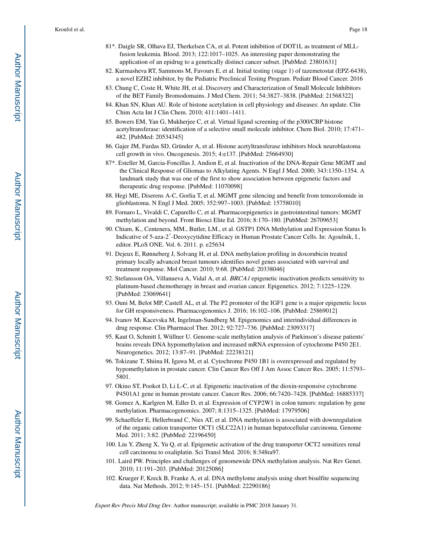- 81\*. Daigle SR, Olhava EJ, Therkelsen CA, et al. Potent inhibition of DOT1L as treatment of MLLfusion leukemia. Blood. 2013; 122:1017–1025. An interesting paper demonstrating the application of an epidrug to a genetically distinct cancer subset. [PubMed: 23801631]
- 82. Kurmasheva RT, Sammons M, Favours E, et al. Initial testing (stage 1) of tazemetostat (EPZ-6438), a novel EZH2 inhibitor, by the Pediatric Preclinical Testing Program. Pediatr Blood Cancer. 2016
- 83. Chung C, Coste H, White JH, et al. Discovery and Characterization of Small Molecule Inhibitors of the BET Family Bromodomains. J Med Chem. 2011; 54:3827–3838. [PubMed: 21568322]
- 84. Khan SN, Khan AU. Role of histone acetylation in cell physiology and diseases: An update. Clin Chim Acta Int J Clin Chem. 2010; 411:1401–1411.
- 85. Bowers EM, Yan G, Mukherjee C, et al. Virtual ligand screening of the p300/CBP histone acetyltransferase: identification of a selective small molecule inhibitor. Chem Biol. 2010; 17:471– 482. [PubMed: 20534345]
- 86. Gajer JM, Furdas SD, Gründer A, et al. Histone acetyltransferase inhibitors block neuroblastoma cell growth in vivo. Oncogenesis. 2015; 4:e137. [PubMed: 25664930]
- 87\*. Esteller M, Garcia-Foncillas J, Andion E, et al. Inactivation of the DNA-Repair Gene MGMT and the Clinical Response of Gliomas to Alkylating Agents. N Engl J Med. 2000; 343:1350–1354. A landmark study that was one of the first to show association between epigenetic factors and therapeutic drug response. [PubMed: 11070098]
- 88. Hegi ME, Diserens A-C, Gorlia T, et al. MGMT gene silencing and benefit from temozolomide in glioblastoma. N Engl J Med. 2005; 352:997–1003. [PubMed: 15758010]
- 89. Fornaro L, Vivaldi C, Caparello C, et al. Pharmacoepigenetics in gastrointestinal tumors: MGMT methylation and beyond. Front Biosci Elite Ed. 2016; 8:170–180. [PubMed: 26709653]
- 90. Chiam, K., Centenera, MM., Butler, LM., et al. GSTP1 DNA Methylation and Expression Status Is Indicative of 5-aza-2′-Deoxycytidine Efficacy in Human Prostate Cancer Cells. In: Agoulnik, I., editor. PLoS ONE. Vol. 6. 2011. p. e25634
- 91. Dejeux E, Rønneberg J, Solvang H, et al. DNA methylation profiling in doxorubicin treated primary locally advanced breast tumours identifies novel genes associated with survival and treatment response. Mol Cancer. 2010; 9:68. [PubMed: 20338046]
- 92. Stefansson OA, Villanueva A, Vidal A, et al. *BRCA1* epigenetic inactivation predicts sensitivity to platinum-based chemotherapy in breast and ovarian cancer. Epigenetics. 2012; 7:1225–1229. [PubMed: 23069641]
- 93. Ouni M, Belot MP, Castell AL, et al. The P2 promoter of the IGF1 gene is a major epigenetic locus for GH responsiveness. Pharmacogenomics J. 2016; 16:102–106. [PubMed: 25869012]
- 94. Ivanov M, Kacevska M, Ingelman-Sundberg M. Epigenomics and interindividual differences in drug response. Clin Pharmacol Ther. 2012; 92:727–736. [PubMed: 23093317]
- 95. Kaut O, Schmitt I, Wüllner U. Genome-scale methylation analysis of Parkinson's disease patients' brains reveals DNA hypomethylation and increased mRNA expression of cytochrome P450 2E1. Neurogenetics. 2012; 13:87–91. [PubMed: 22238121]
- 96. Tokizane T, Shiina H, Igawa M, et al. Cytochrome P450 1B1 is overexpressed and regulated by hypomethylation in prostate cancer. Clin Cancer Res Off J Am Assoc Cancer Res. 2005; 11:5793– 5801.
- 97. Okino ST, Pookot D, Li L-C, et al. Epigenetic inactivation of the dioxin-responsive cytochrome P4501A1 gene in human prostate cancer. Cancer Res. 2006; 66:7420–7428. [PubMed: 16885337]
- 98. Gomez A, Karlgren M, Edler D, et al. Expression of CYP2W1 in colon tumors: regulation by gene methylation. Pharmacogenomics. 2007; 8:1315–1325. [PubMed: 17979506]
- 99. Schaeffeler E, Hellerbrand C, Nies AT, et al. DNA methylation is associated with downregulation of the organic cation transporter OCT1 (SLC22A1) in human hepatocellular carcinoma. Genome Med. 2011; 3:82. [PubMed: 22196450]
- 100. Liu Y, Zheng X, Yu Q, et al. Epigenetic activation of the drug transporter OCT2 sensitizes renal cell carcinoma to oxaliplatin. Sci Transl Med. 2016; 8:348ra97.
- 101. Laird PW. Principles and challenges of genomewide DNA methylation analysis. Nat Rev Genet. 2010; 11:191–203. [PubMed: 20125086]
- 102. Krueger F, Kreck B, Franke A, et al. DNA methylome analysis using short bisulfite sequencing data. Nat Methods. 2012; 9:145–151. [PubMed: 22290186]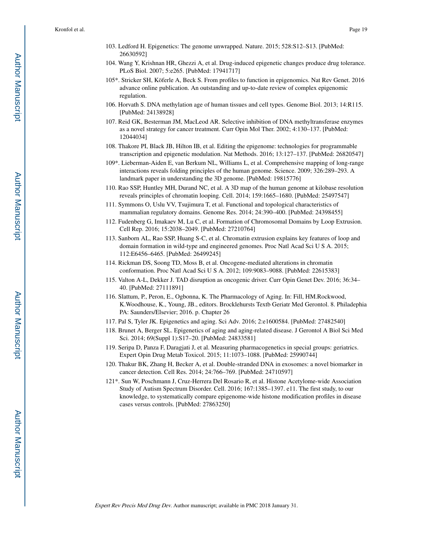- 103. Ledford H. Epigenetics: The genome unwrapped. Nature. 2015; 528:S12–S13. [PubMed: 26630592]
- 104. Wang Y, Krishnan HR, Ghezzi A, et al. Drug-induced epigenetic changes produce drug tolerance. PLoS Biol. 2007; 5:e265. [PubMed: 17941717]
- 105\*. Stricker SH, Köferle A, Beck S. From profiles to function in epigenomics. Nat Rev Genet. 2016 advance online publication. An outstanding and up-to-date review of complex epigenomic regulation.
- 106. Horvath S. DNA methylation age of human tissues and cell types. Genome Biol. 2013; 14:R115. [PubMed: 24138928]
- 107. Reid GK, Besterman JM, MacLeod AR. Selective inhibition of DNA methyltransferase enzymes as a novel strategy for cancer treatment. Curr Opin Mol Ther. 2002; 4:130–137. [PubMed: 12044034]
- 108. Thakore PI, Black JB, Hilton IB, et al. Editing the epigenome: technologies for programmable transcription and epigenetic modulation. Nat Methods. 2016; 13:127–137. [PubMed: 26820547]
- 109\*. Lieberman-Aiden E, van Berkum NL, Williams L, et al. Comprehensive mapping of long-range interactions reveals folding principles of the human genome. Science. 2009; 326:289–293. A landmark paper in understanding the 3D genome. [PubMed: 19815776]
- 110. Rao SSP, Huntley MH, Durand NC, et al. A 3D map of the human genome at kilobase resolution reveals principles of chromatin looping. Cell. 2014; 159:1665–1680. [PubMed: 25497547]
- 111. Symmons O, Uslu VV, Tsujimura T, et al. Functional and topological characteristics of mammalian regulatory domains. Genome Res. 2014; 24:390–400. [PubMed: 24398455]
- 112. Fudenberg G, Imakaev M, Lu C, et al. Formation of Chromosomal Domains by Loop Extrusion. Cell Rep. 2016; 15:2038–2049. [PubMed: 27210764]
- 113. Sanborn AL, Rao SSP, Huang S-C, et al. Chromatin extrusion explains key features of loop and domain formation in wild-type and engineered genomes. Proc Natl Acad Sci U S A. 2015; 112:E6456–6465. [PubMed: 26499245]
- 114. Rickman DS, Soong TD, Moss B, et al. Oncogene-mediated alterations in chromatin conformation. Proc Natl Acad Sci U S A. 2012; 109:9083–9088. [PubMed: 22615383]
- 115. Valton A-L, Dekker J. TAD disruption as oncogenic driver. Curr Opin Genet Dev. 2016; 36:34– 40. [PubMed: 27111891]
- 116. Slattum, P., Peron, E., Ogbonna, K. The Pharmacology of Aging. In: Fill, HM.Rockwood, K.Woodhouse, K., Young, JB., editors. Brocklehursts Textb Geriatr Med Gerontol. 8. Philadephia PA: Saunders/Elsevier; 2016. p. Chapter 26
- 117. Pal S, Tyler JK. Epigenetics and aging. Sci Adv. 2016; 2:e1600584. [PubMed: 27482540]
- 118. Brunet A, Berger SL. Epigenetics of aging and aging-related disease. J Gerontol A Biol Sci Med Sci. 2014; 69(Suppl 1):S17–20. [PubMed: 24833581]
- 119. Seripa D, Panza F, Daragjati J, et al. Measuring pharmacogenetics in special groups: geriatrics. Expert Opin Drug Metab Toxicol. 2015; 11:1073–1088. [PubMed: 25990744]
- 120. Thakur BK, Zhang H, Becker A, et al. Double-stranded DNA in exosomes: a novel biomarker in cancer detection. Cell Res. 2014; 24:766–769. [PubMed: 24710597]
- 121\*. Sun W, Poschmann J, Cruz-Herrera Del Rosario R, et al. Histone Acetylome-wide Association Study of Autism Spectrum Disorder. Cell. 2016; 167:1385–1397. e11. The first study, to our knowledge, to systematically compare epigenome-wide histone modification profiles in disease cases versus controls. [PubMed: 27863250]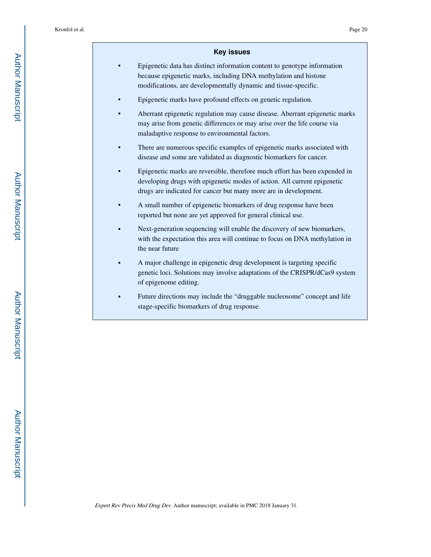#### **Key issues**

- **•** Epigenetic data has distinct information content to genotype information because epigenetic marks, including DNA methylation and histone modifications, are developmentally dynamic and tissue-specific.
- **•** Epigenetic marks have profound effects on genetic regulation.
- **•** Aberrant epigenetic regulation may cause disease. Aberrant epigenetic marks may arise from genetic differences or may arise over the life course via maladaptive response to environmental factors.
- **•** There are numerous specific examples of epigenetic marks associated with disease and some are validated as diagnostic biomarkers for cancer.
- **•** Epigenetic marks are reversible, therefore much effort has been expended in developing drugs with epigenetic modes of action. All current epigenetic drugs are indicated for cancer but many more are in development.
- **•** A small number of epigenetic biomarkers of drug response have been reported but none are yet approved for general clinical use.
- **•** Next-generation sequencing will enable the discovery of new biomarkers, with the expectation this area will continue to focus on DNA methylation in the near future
- **•** A major challenge in epigenetic drug development is targeting specific genetic loci. Solutions may involve adaptations of the CRISPR/dCas9 system of epigenome editing.
- **•** Future directions may include the "druggable nucleosome" concept and life stage-specific biomarkers of drug response.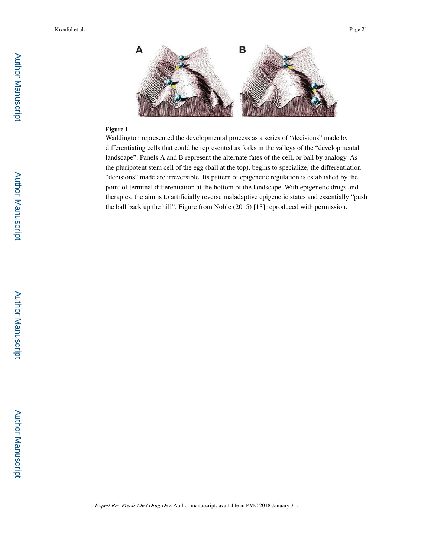

#### **Figure 1.**

Waddington represented the developmental process as a series of "decisions" made by differentiating cells that could be represented as forks in the valleys of the "developmental landscape". Panels A and B represent the alternate fates of the cell, or ball by analogy. As the pluripotent stem cell of the egg (ball at the top), begins to specialize, the differentiation "decisions" made are irreversible. Its pattern of epigenetic regulation is established by the point of terminal differentiation at the bottom of the landscape. With epigenetic drugs and therapies, the aim is to artificially reverse maladaptive epigenetic states and essentially "push the ball back up the hill". Figure from Noble (2015) [13] reproduced with permission.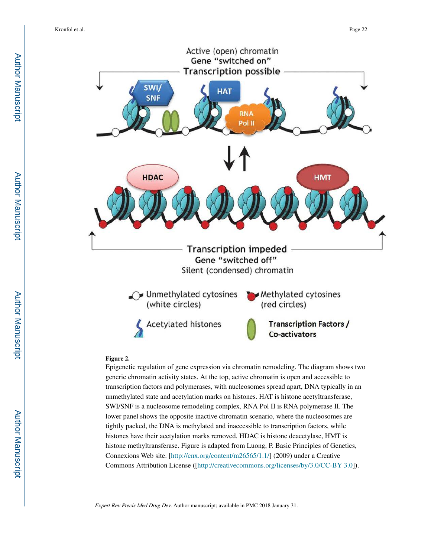

#### **Figure 2.**

Epigenetic regulation of gene expression via chromatin remodeling. The diagram shows two generic chromatin activity states. At the top, active chromatin is open and accessible to transcription factors and polymerases, with nucleosomes spread apart, DNA typically in an unmethylated state and acetylation marks on histones. HAT is histone acetyltransferase, SWI/SNF is a nucleosome remodeling complex, RNA Pol II is RNA polymerase II. The lower panel shows the opposite inactive chromatin scenario, where the nucleosomes are tightly packed, the DNA is methylated and inaccessible to transcription factors, while histones have their acetylation marks removed. HDAC is histone deacetylase, HMT is histone methyltransferase. Figure is adapted from Luong, P. Basic Principles of Genetics, Connexions Web site. [[http://cnx.org/content/m26565/1.1/\]](http://cnx.org/content/m26565/1.1/) (2009) under a Creative Commons Attribution License ([[http://creativecommons.org/licenses/by/3.0/CC-BY 3.0](http://creativecommons.org/licenses/by/3.0/CC-BY3.0)]).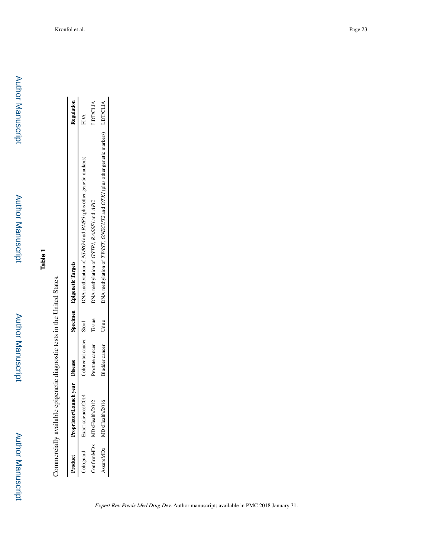| J |
|---|
|   |
|   |
|   |
|   |
|   |
| r |
|   |
|   |
| C |
|   |
|   |
|   |
|   |
|   |
|   |
|   |
|   |
|   |
|   |
|   |
|   |
|   |
|   |
|   |
|   |
|   |
|   |
|   |
|   |
|   |
|   |
|   |
| ٠ |
|   |
|   |
|   |
|   |

**Table 1**

| Commercially available |                                             | epigenetic diagnostic tests in the United States. |        |                                                                                  |            |
|------------------------|---------------------------------------------|---------------------------------------------------|--------|----------------------------------------------------------------------------------|------------|
|                        | Launch year Disease<br>Product Proprietor/I |                                                   |        | Specimen Epigenetic Targets                                                      | Regulation |
|                        | Cologuard Exact sciences/2014               | Colorectal cancer Stool                           |        | DNA methylation of NDRG4 and BMP3 (plus other genetic markers)                   | ÂŒ         |
|                        | ConfirmMDx MDxHealth/2012                   | Prostate cancer                                   | Tissue | DNA methylation of GSTP1, RASSF1 and APC.                                        | ALDT/CLIA  |
|                        | AssureMDx MDxHealth/2016                    | Bladder cancer                                    | Urine  | DNA methylation of TWIST, ONECUT2 and OTX1 (plus other genetic markers) LDT/CLIA |            |
|                        |                                             |                                                   |        |                                                                                  |            |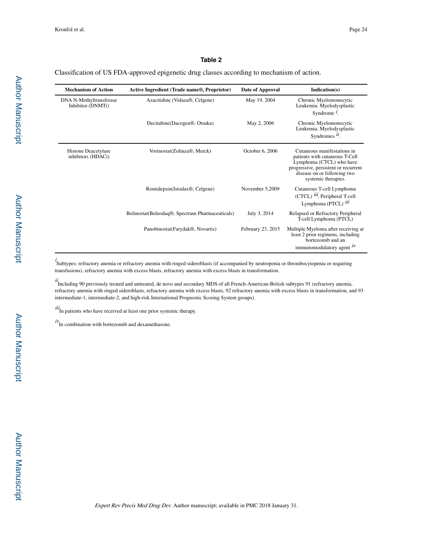#### **Table 2**

Classification of US FDA-approved epigenetic drug classes according to mechanism of action.

| <b>Mechanism of Action</b>                       | Active Ingredient (Trade name®, Proprietor)     | Date of Approval  | Indication(s)                                                                                                                                                                           |
|--------------------------------------------------|-------------------------------------------------|-------------------|-----------------------------------------------------------------------------------------------------------------------------------------------------------------------------------------|
| DNA N-Methyltransferase<br>Inhibitor (DNMTi)     | Azacitidine (Vidaza®, Celgene)                  | May 19, 2004      | Chronic Myelomonocytic<br>Leukemia. Myelodysplastic<br>Syndrome $\frac{I}{I}$ .                                                                                                         |
|                                                  | Decitabine(Dacogen®, Otsuka)                    | May 2, 2006       | Chronic Myelomonocytic<br>Leukemia. Myelodysplastic<br>Syndromes $H$ .                                                                                                                  |
| <b>Histone Deacetylase</b><br>inhibitors (HDACi) | Vorinostat(Zolinza®, Merck)                     | October 6, 2006   | Cutaneous manifestations in<br>patients with cutaneous T-Cell<br>Lymphoma (CTCL) who have<br>progressive, persistent or recurrent<br>disease on or following two<br>systemic therapies. |
|                                                  | Romidepsin(Istodax®, Celgene)                   | November 5,2009   | Cutaneous T-cell Lymphoma<br>(CTCL) <sup>iii</sup> , Peripheral T-cell<br>Lymphoma (PTCL) iii                                                                                           |
|                                                  | Belinostat(Beleodaq®, Spectrum Pharmaceuticals) | July 3, 2014      | Relapsed or Refractory Peripheral<br>T-cell Lymphoma (PTCL)                                                                                                                             |
|                                                  | Panobinostat (Farydak®, Novartis)               | February 23, 2015 | Multiple Myeloma after receiving at<br>least 2 prior regimens, including<br>bortezomib and an<br>immunomodulatory agent $I^V$                                                           |

i<br>Subtypes: refractory anemia or refractory anemia with ringed sideroblasts (if accompanied by neutropenia or thrombocytopenia or requiring transfusions), refractory anemia with excess blasts, refractory anemia with excess blasts in transformation.

ii<br>Including 90 previously treated and untreated, de novo and secondary MDS of all French-American-British subtypes 91 (refractory anemia, refractory anemia with ringed sideroblasts, refractory anemia with excess blasts, 92 refractory anemia with excess blasts in transformation, and 93 intermediate-1, intermediate-2, and high-risk International Prognostic Scoring System groups).

iii<br>In patients who have received at least one prior systemic therapy.

 $i v$ <br>In combination with bortezomib and dexamethasone.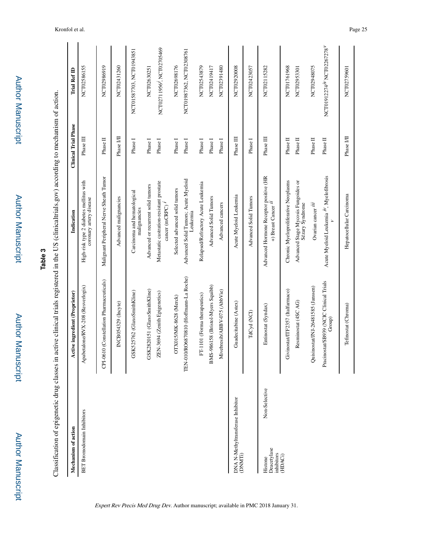| Mechanism of action                                   | <b>Active ingredient (Proprietor)</b>             | Indication                                                                  | <b>Clinical Trial Phase</b> | <b>Trial Ref ID</b>                                |
|-------------------------------------------------------|---------------------------------------------------|-----------------------------------------------------------------------------|-----------------------------|----------------------------------------------------|
| <b>BET</b> Bromodomain Inhibitors                     | Apabetalone/RVX-208 (Resverlogix)                 | High-risk type 2 diabetes mellitus with<br>coronary artery disease          | Phase III                   | NCT02586155                                        |
|                                                       | CPI-0610 (Constellation Pharmaceuticals)          | Malignant Peripheral Nerve Sheath Tumor                                     | Phase II                    | NCT02986919                                        |
|                                                       | INCB054329 (Incyte)                               | Advanced malignancies                                                       | Phase I/II                  | NCT02431260                                        |
|                                                       | GSK525762 (GlaxoSmithKline)                       | Carcinoma and hematological<br>malignancies                                 | Phase I                     | NCT01587703, NCT01943851                           |
|                                                       | GSK2820151 (GlaxoSmithKline)                      | Advanced or recurrent solid tumors                                          | Phase I                     | NCT02630251                                        |
|                                                       | ZEN-3694 (Zenith Epigenetics)                     | Metastatic castration-resistant prostate<br>cancer (mCRPC) <sup>1</sup>     | Phase I                     | NCT02711956 <sup>1</sup> , NCT02705469             |
|                                                       | OTX015/MK-8628 (Merck)                            | Selected advanced solid tumors                                              | Phase I                     | NCT02698176                                        |
|                                                       | TEN-010/RO6870810 (Hoffmann-La Roche)             | Advanced Solid Tumors; Acute Myeloid<br>Leukemia                            | Phase I                     | NCT01987362, NCT02308761                           |
|                                                       | FT-1101 (Forma therapeutics)                      | Relapsed/Refractory Acute Leukemia                                          | Phase I                     | NCT02543879                                        |
|                                                       | BMS-986158 (Bristol-Myers Squibb)                 | Advanced Solid Tumors                                                       | Phase I                     | NCT02419417                                        |
|                                                       | Mivebresib/ABBV-075 (AbbVie)                      | Advanced cancers                                                            | Phase I                     | NCT02391480                                        |
| DNA N-Methyltransferase Inhibitor<br>(DNMTi)          | Guadecitabine (Astex)                             | Acute Myeloid Leukemia                                                      | Phase III                   | NCT02920008                                        |
|                                                       | TdCyd (NCI)                                       | Advanced Solid Tumors                                                       | Phase I                     | NCT02423057                                        |
| Non-Selective<br>Deacetylase<br>inhibitors<br>Histone | Entinostat (Syndax)                               | Advanced Hormone Receptor positive (HR<br>+) Breast Cancer $\overline{\mu}$ | Phase III                   | NCT02115282                                        |
| (HDACi)                                               | Givinostat/ITF2357 (Italfarmaco)                  | Chronic Myeloproliferative Neoplasms                                        | Phase II                    | NCT01761968                                        |
|                                                       | Resminostat (4SC AG)                              | Advanced Stage Mycosis Fungoides or<br>Sézary Syndrome                      | Phase II                    | NCT02953301                                        |
|                                                       | Quisinostat/JNJ-26481585 (Janssen)                | Ovarian cancer $^{I\!I\!I}$                                                 | Phase II                    | NCT02948075                                        |
|                                                       | Pracinostat/SB939 (NCIC Clinical Trials<br>Group) | Acute Myeloid Leukemia IV, Myelofibrosis                                    | Phase II                    | NCT01912274 <sup>1v</sup> NCT02267278 <sup>v</sup> |
|                                                       | Tefinostat (Chroma)                               | Hepatocellular Carcinoma                                                    | Phase I/II                  | NCT02759601                                        |

Expert Rev Precis Med Drug Dev. Author manuscript; available in PMC 2018 January 31.

**Table 3**

Author Manuscript

Author Manuscript

Author Manuscript

Author Manuscript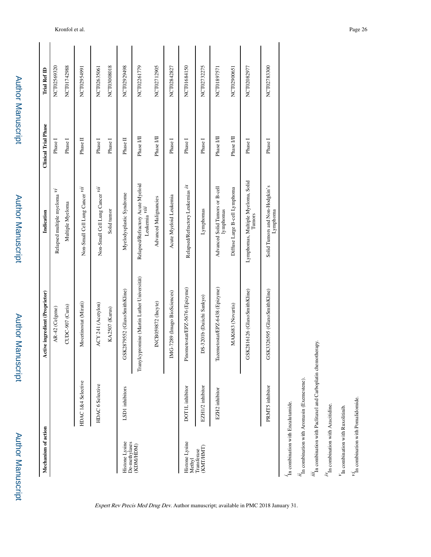| Mechanism of action                    |                                                                         | Active ingredient (Proprietor)              | Indication                                                         | <b>Clinical Trial Phase</b> | Trial Ref ID |
|----------------------------------------|-------------------------------------------------------------------------|---------------------------------------------|--------------------------------------------------------------------|-----------------------------|--------------|
|                                        |                                                                         | AR-42 (Celgene)                             | Relapsed multiple myeloma Vi                                       | Phase I                     | NCT02569320  |
|                                        |                                                                         | CUDC-907 (Curis)                            | Multiple Myeloma                                                   | Phase I                     | NCT01742988  |
|                                        | HDAC 1&4 Selective                                                      | Mocetinostat (Mirati)                       | Non-Small Cell Lung Cancer Vil                                     | Phase $\Pi$                 | NCT02954991  |
|                                        | HDAC 6 Selective                                                        | ACY 241 (Acetylon)                          | Non-Small Cell Lung Cancer Vil                                     | Phase I                     | NCT02635061  |
|                                        |                                                                         | KA2507 (Karus)                              | Solid tumor                                                        | Phase I                     | NCT03008018  |
| Histone Lysine<br>De-methylases        | LSD1 inhibitors                                                         | GSK2879552 (GlaxoSmithKline)                | Myelodysplastic Syndrome                                           | Phase II                    | NCT02929498  |
| (KDM/HDM)                              |                                                                         | Tranylcypromine (Martin Luther Universität) | Relapsed/Refractory Acute Myeloid<br>Leukemia $^{v\bar{u}\bar{i}}$ | Phase I/II                  | NCT02261779  |
|                                        |                                                                         | INCB059872 (Incyte)                         | Advanced Malignancies                                              | Phase I/II                  | NCT02712905  |
|                                        |                                                                         | IMG-7289 (Imago BioSciences)                | Acute Myeloid Leukemia                                             | Phase I                     | NCT02842827  |
| Histone Lysine<br>Methyl               | <b>DOTIL</b> inhibitor                                                  | Pinometostat/EPZ-5676 (Epizyme)             | Relapsed/Refractory Leukemias <sup>İx</sup>                        | Phase I                     | NCT01684150  |
| (KMT/HMT)<br>Transferase               | EZH1/2 inhibitor                                                        | DS-3201b (Daiichi Sankyo)                   | Lymphomas                                                          | Phase I                     | NCT02732275  |
|                                        | EZH2 inhibitor                                                          | Tazemetostat/EPZ-6438 (Epizyme)             | Advanced Solid Tumors or B-cell<br>lymphomas                       | Phase I/II                  | NCT01897571  |
|                                        |                                                                         | MAK683 (Novartis)                           | Diffuse Large B-cell Lymphoma                                      | Phase I/II                  | NCT02900651  |
|                                        |                                                                         | GSK2816126 (GlaxoSmithKline)                | Lymphomas, Multiple Myeloma, Solid<br>Tumors                       | Phase ${\rm I}$             | NCT02082977  |
|                                        | PRMT5 inhibitor                                                         | GSK3326595 (GlaxoSmithKline)                | Solid Tumors and Non-Hodgkin's<br>Lymphoma                         | Phase I                     | NCT02783300  |
| In combination with Enzalutamide.      |                                                                         |                                             |                                                                    |                             |              |
|                                        | $\ddot{h}$ n combination with Aromasin (Exemestene).                    |                                             |                                                                    |                             |              |
|                                        | $\frac{n}{L}$ combination with Paclitaxel and Carboplatin chemotherapy. |                                             |                                                                    |                             |              |
| $I_V$ In combination with Azacitidine. |                                                                         |                                             |                                                                    |                             |              |

Expert Rev Precis Med Drug Dev. Author manuscript; available in PMC 2018 January 31.

Kronfol et al. Page 26

 $V_{\text{In}}$  combination with Ruxolitinib. In combination with Ruxolitinib.  $v_I$  in combination with Pomalidomide.

 $v_1^\prime$  <br> In combination with Pomalidomide.

 Author Manuscript**Author Manuscript** 

Author Manuscript

**Author Manuscript** 

Author Manuscript

Author Manuscript